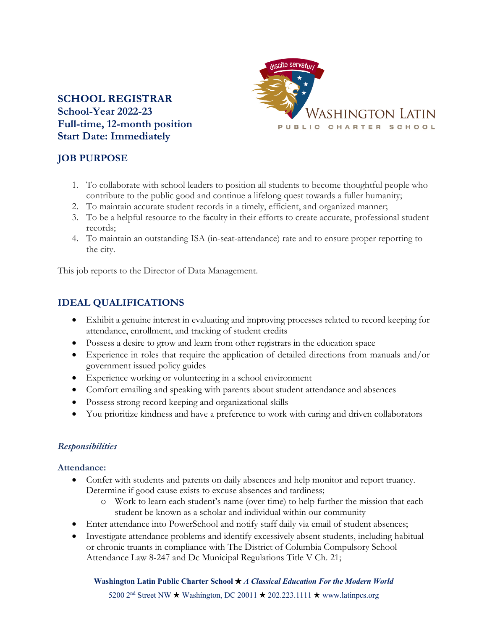## **SCHOOL REGISTRAR School-Year 2022-23 Full-time, 12-month position Start Date: Immediately**



# **JOB PURPOSE**

- 1. To collaborate with school leaders to position all students to become thoughtful people who contribute to the public good and continue a lifelong quest towards a fuller humanity;
- 2. To maintain accurate student records in a timely, efficient, and organized manner;
- 3. To be a helpful resource to the faculty in their efforts to create accurate, professional student records;
- 4. To maintain an outstanding ISA (in-seat-attendance) rate and to ensure proper reporting to the city.

This job reports to the Director of Data Management.

# **IDEAL QUALIFICATIONS**

- Exhibit a genuine interest in evaluating and improving processes related to record keeping for attendance, enrollment, and tracking of student credits
- Possess a desire to grow and learn from other registrars in the education space
- Experience in roles that require the application of detailed directions from manuals and/or government issued policy guides
- Experience working or volunteering in a school environment
- Comfort emailing and speaking with parents about student attendance and absences
- Possess strong record keeping and organizational skills
- You prioritize kindness and have a preference to work with caring and driven collaborators

## *Responsibilities*

## **Attendance:**

- Confer with students and parents on daily absences and help monitor and report truancy. Determine if good cause exists to excuse absences and tardiness;
	- o Work to learn each student's name (over time) to help further the mission that each student be known as a scholar and individual within our community
- Enter attendance into PowerSchool and notify staff daily via email of student absences;
- Investigate attendance problems and identify excessively absent students, including habitual or chronic truants in compliance with The District of Columbia Compulsory School Attendance Law 8-247 and Dc Municipal Regulations Title V Ch. 21;

### **Washington Latin Public Charter School** !"*A Classical Education For the Modern World*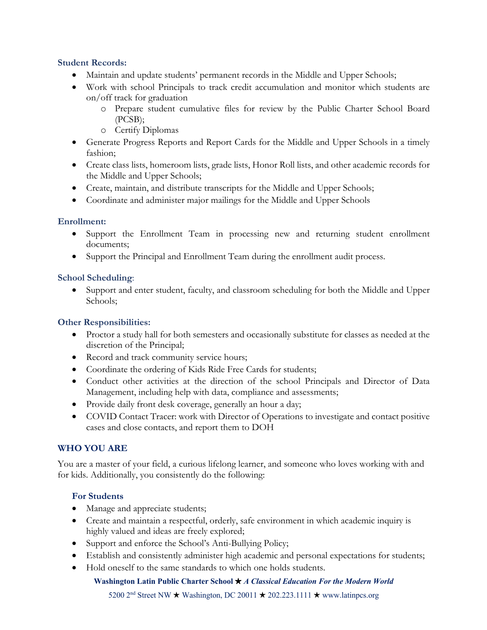### **Student Records:**

- Maintain and update students' permanent records in the Middle and Upper Schools;
- Work with school Principals to track credit accumulation and monitor which students are on/off track for graduation
	- o Prepare student cumulative files for review by the Public Charter School Board (PCSB);
	- o Certify Diplomas
- Generate Progress Reports and Report Cards for the Middle and Upper Schools in a timely fashion;
- Create class lists, homeroom lists, grade lists, Honor Roll lists, and other academic records for the Middle and Upper Schools;
- Create, maintain, and distribute transcripts for the Middle and Upper Schools;
- Coordinate and administer major mailings for the Middle and Upper Schools

### **Enrollment:**

- Support the Enrollment Team in processing new and returning student enrollment documents;
- Support the Principal and Enrollment Team during the enrollment audit process.

### **School Scheduling**:

• Support and enter student, faculty, and classroom scheduling for both the Middle and Upper Schools;

### **Other Responsibilities:**

- Proctor a study hall for both semesters and occasionally substitute for classes as needed at the discretion of the Principal;
- Record and track community service hours;
- Coordinate the ordering of Kids Ride Free Cards for students;
- Conduct other activities at the direction of the school Principals and Director of Data Management, including help with data, compliance and assessments;
- Provide daily front desk coverage, generally an hour a day;
- COVID Contact Tracer: work with Director of Operations to investigate and contact positive cases and close contacts, and report them to DOH

## **WHO YOU ARE**

You are a master of your field, a curious lifelong learner, and someone who loves working with and for kids. Additionally, you consistently do the following:

## **For Students**

- Manage and appreciate students;
- Create and maintain a respectful, orderly, safe environment in which academic inquiry is highly valued and ideas are freely explored;
- Support and enforce the School's Anti-Bullying Policy;
- Establish and consistently administer high academic and personal expectations for students;
- Hold oneself to the same standards to which one holds students.

### **Washington Latin Public Charter School** !"*A Classical Education For the Modern World*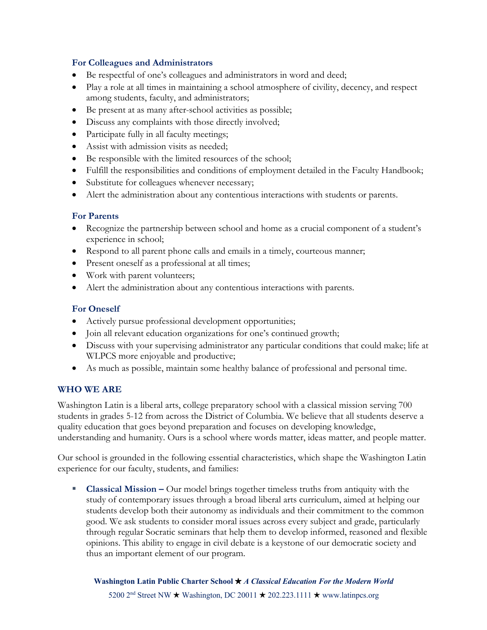### **For Colleagues and Administrators**

- Be respectful of one's colleagues and administrators in word and deed;
- Play a role at all times in maintaining a school atmosphere of civility, decency, and respect among students, faculty, and administrators;
- Be present at as many after-school activities as possible;
- Discuss any complaints with those directly involved;
- Participate fully in all faculty meetings;
- Assist with admission visits as needed;
- Be responsible with the limited resources of the school;
- Fulfill the responsibilities and conditions of employment detailed in the Faculty Handbook;
- Substitute for colleagues whenever necessary;
- Alert the administration about any contentious interactions with students or parents.

### **For Parents**

- Recognize the partnership between school and home as a crucial component of a student's experience in school;
- Respond to all parent phone calls and emails in a timely, courteous manner;
- Present oneself as a professional at all times;
- Work with parent volunteers;
- Alert the administration about any contentious interactions with parents.

### **For Oneself**

- Actively pursue professional development opportunities;
- Join all relevant education organizations for one's continued growth;
- Discuss with your supervising administrator any particular conditions that could make; life at WLPCS more enjoyable and productive;
- As much as possible, maintain some healthy balance of professional and personal time.

### **WHO WE ARE**

Washington Latin is a liberal arts, college preparatory school with a classical mission serving 700 students in grades 5-12 from across the District of Columbia. We believe that all students deserve a quality education that goes beyond preparation and focuses on developing knowledge, understanding and humanity. Ours is a school where words matter, ideas matter, and people matter.

Our school is grounded in the following essential characteristics, which shape the Washington Latin experience for our faculty, students, and families:

§ **Classical Mission –** Our model brings together timeless truths from antiquity with the study of contemporary issues through a broad liberal arts curriculum, aimed at helping our students develop both their autonomy as individuals and their commitment to the common good. We ask students to consider moral issues across every subject and grade, particularly through regular Socratic seminars that help them to develop informed, reasoned and flexible opinions. This ability to engage in civil debate is a keystone of our democratic society and thus an important element of our program.